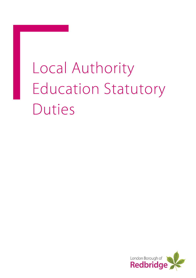Local Authority **Education Statutory** Duties

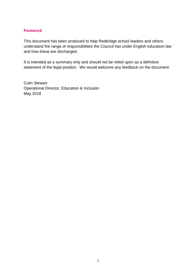#### **Foreword**

This document has been produced to help Redbridge school leaders and others understand the range of responsibilities the Council has under English education law and how these are discharged.

It is intended as a summary only and should not be relied upon as a definitive statement of the legal position. We would welcome any feedback on the document.

Colin Stewart Operational Director, Education & Inclusion May 2018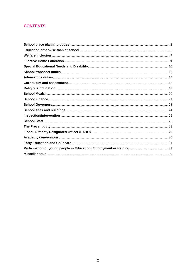# **CONTENTS**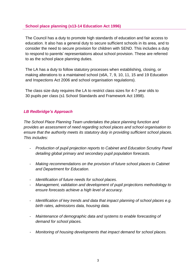## <span id="page-3-0"></span>**School place planning (s13-14 Education Act 1996)**

The Council has a duty to promote high standards of education and fair access to education. It also has a general duty to secure sufficient schools in its area, and to consider the need to secure provision for children with SEND. This includes a duty to respond to parents' representations about school provision. These are referred to as the school place planning duties.

The LA has a duty to follow statutory processes when establishing, closing, or making alterations to a maintained school (s6A, 7, 9, 10, 11, 15 and 19 Education and Inspections Act 2006 and school organisation regulations).

The class size duty requires the LA to restrict class sizes for 4-7 year olds to 30 pupils per class (s1 School Standards and Framework Act 1998).

## *LB Redbridge's Approach*

*The School Place Planning Team undertakes the place planning function and provides an assessment of need regarding school places and school organisation to ensure that the authority meets its statutory duty in providing sufficient school places. This includes:*

- *Production of pupil projection reports to Cabinet and Education Scrutiny Panel detailing global primary and secondary pupil population forecasts.*
- $\omega_{\rm{max}}$ *Making recommendations on the provision of future school places to Cabinet and Department for Education.*
- *Identification of future needs for school places.*
- *Management, validation and development of pupil projections methodology to*   $\mathbf{L}^{(1)}$ *ensure forecasts achieve a high level of accuracy.*
- *Identification of key trends and data that impact planning of school places e.g.*   $\mathbf{r}$ *birth rates, admissions data, housing data.*
- *Maintenance of demographic data and systems to enable forecasting of demand for school places.*
- *- Monitoring of housing developments that impact demand for school places.*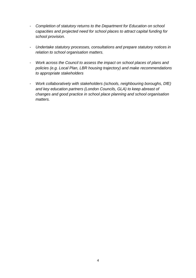- *- Completion of statutory returns to the Department for Education on school capacities and projected need for school places to attract capital funding for school provision.*
- *- Undertake statutory processes, consultations and prepare statutory notices in relation to school organisation matters.*
- *- Work across the Council to assess the impact on school places of plans and policies (e.g. Local Plan, LBR housing trajectory) and make recommendations to appropriate stakeholders*
- *- Work collaboratively with stakeholders (schools, neighbouring boroughs, DfE) and key education partners (London Councils, GLA) to keep abreast of changes and good practice in school place planning and school organisation matters.*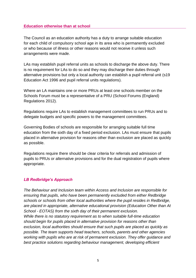#### <span id="page-5-0"></span>**Education otherwise than at school**

The Council as an education authority has a duty to arrange suitable education for each child of compulsory school age in its area who is permanently excluded or who because of illness or other reasons would not receive it unless such arrangements were made.

LAs may establish pupil referral units as schools to discharge the above duty. There is no requirement for LAs to do so and they may discharge their duties through alternative provisions but only a local authority can establish a pupil referral unit (s19 Education Act 1996 and pupil referral units regulations).

Where an LA maintains one or more PRUs at least one schools member on the Schools Forum must be a representative of a PRU (School Forums (England) Regulations 2012).

Regulations require LAs to establish management committees to run PRUs and to delegate budgets and specific powers to the management committees.

Governing Bodies of schools are responsible for arranging suitable full time education from the sixth day of a fixed period exclusion. LAs must ensure that pupils placed in alternative provision for reasons other than exclusion are placed as quickly as possible.

Regulations require there should be clear criteria for referrals and admission of pupils to PRUs or alternative provisions and for the dual registration of pupils where appropriate.

## *LB Redbridge's Approach*

*The Behaviour and Inclusion team within Access and Inclusion are responsible for ensuring that pupils, who have been permanently excluded from either Redbridge schools or schools from other local authorities where the pupil resides in Redbridge, are placed in appropriate, alternative educational provision (Education Other than At School - EOTAS) from the sixth day of their permanent exclusion. While there is no statutory requirement as to when suitable full-time education should begin for pupils placed in alternative provision for reasons other than exclusion, local authorities should ensure that such pupils are placed as quickly as possible. The team supports head teachers, schools, parents and other agencies working with pupils who are at risk of permanent exclusion. They offer guidance and best practice solutions regarding behaviour management, developing efficient*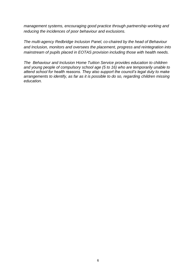*management systems, encouraging good practice through partnership working and reducing the incidences of poor behaviour and exclusions.*

*The multi-agency Redbridge Inclusion Panel, co-chaired by the head of Behaviour and Inclusion, monitors and oversees the placement, progress and reintegration into mainstream of pupils placed in EOTAS provision including those with health needs.*

*The [Behaviour and Inclusion Home Tuition Service](http://nrhs.redbridge.sch.uk/service-centres/redbridge-alternative-provision/) provides education to children and young people of compulsory school age (5 to 16) who are temporarily unable to attend school for health reasons. They also support the council's legal duty to make arrangements to identify, as far as it is possible to do so, regarding children missing education.*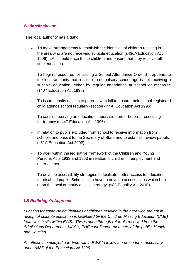#### <span id="page-7-0"></span>**Welfare/Inclusion**

The local authority has a duty:

- To make arrangements to establish the identities of children residing in the area who are not receiving suitable education (s436A Education Act 1996). LAs should trace those children and ensure that they receive fulltime education.
- To begin procedures for issuing a School Attendance Order if it appears to the local authority that a child of compulsory school age is not receiving a suitable education, either by regular attendance at school or otherwise (s437 Education Act 1996)
- To issue penalty notices to parents who fail to ensure their school-registered child attends school regularly (section 444A, Education Act 1996).
- To consider serving an education supervision order before prosecuting for truancy (s 447 Education Act 1996)
- In relation to pupils excluded from school to receive information from  $\sim$   $^{-1}$ schools and pass it to the Secretary of State and to establish review panels (s51A Education Act 2002)
- To work within the legislative framework of the Children and Young Persons Acts 1933 and 1963 in relation to children in employment and entertainment.
- To develop accessibility strategies to facilitate better access to education for disabled pupils. Schools also have to develop access plans which build upon the local authority access strategy. (s88 Equality Act 2010)

## *LB Redbridge's Approach*

*Function for establishing identities of children residing in the area who are not in receipt of suitable education is facilitated by the Children Missing Education (CME) team which sits within EWS. This is done through referrals received from the Admissions Department, MASH, EHE coordinator, members of the public, Health and Housing.*

*An officer is employed part-time within EWS to follow the procedures necessary under s437 of the Education Act 1996.*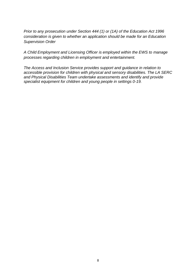*Prior to any prosecution under Section 444 (1) or (1A) of the Education Act 1996 consideration is given to whether an application should be made for an Education Supervision Order*

*A Child Employment and Licensing Officer is employed within the EWS to manage processes regarding children in employment and entertainment.*

*The Access and Inclusion Service provides support and guidance in relation to accessible provision for children with physical and sensory disabilities. The LA SERC and Physical Disabilities Team undertake assessments and identify and provide specialist equipment for children and young people in settings 0-19.*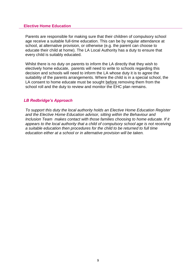#### <span id="page-9-0"></span>**Elective Home Education**

Parents are responsible for making sure that their children of compulsory school age receive a suitable full-time education. This can be by regular attendance at school, at alternative provision, or otherwise (e.g. the parent can choose to educate their child at home). The LA Local Authority has a duty to ensure that every child is suitably educated.

Whilst there is no duty on parents to inform the LA directly that they wish to electively home educate, parents will need to write to schools regarding this decision and schools will need to inform the LA whose duty it is to agree the suitability of the parents arrangements. Where the child is in a special school, the LA consent to home educate must be sought before removing them from the school roll and the duty to review and monitor the EHC plan remains.

#### *LB Redbridge's Approach*

*To support this duty the local authority holds an Elective Home Education Register and the Elective Home Education advisor, sitting within the Behaviour and*  Inclusion Team makes contact with those families choosing to home educate. If it *appears to the local authority that a child of compulsory school age is not receiving a suitable education then procedures for the child to be returned to full time education either at a school or in alternative provision will be taken.*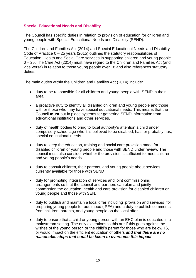## <span id="page-10-0"></span>**Special Educational Needs and Disability**

The Council has specific duties in relation to provision of education for children and young people with Special Educational Needs and Disability (SEND).

The Children and Families Act (2014) and Special Educational Needs and Disability Code of Practice 0 – 25 years (2015) outlines the statutory responsibilities of Education, Health and Social Care services in supporting children and young people 0 – 25. The Care Act (2014) must have regard to the Children and Families Act (and vice versa) in relation to those young people over 18 and also references statutory duties.

The main duties within the Children and Families Act (2014) include:

- duty to be responsible for all children and young people with SEND in their area.
- a proactive duty to identify all disabled children and young people and those with or those who may have special educational needs. This means that the Council **must** put in place systems for gathering SEND information from educational institutions and other services.
- duty of health bodies to bring to local authority's attention a child under compulsory school age who it is believed to be disabled, has, or probably has, special educational needs.
- duty to keep the education, training and social care provision made for disabled children or young people and those with SEND under review. The council must also consider whether the provision is sufficient to meet children and young people's needs.
- duty to consult children, their parents, and young people about services currently available for those with SEND
- duty for promoting integration of services and joint commissioning arrangements so that the council and partners can plan and jointly commission the education, health and care provision for disabled children or young people and those with SEN.
- duty to publish and maintain a local offer including provision and services for preparing young people for adulthood ( PFA) and a duty to publish comments from children, parents, and young people on the local offer
- duty to ensure that a child or young person with an EHC plan is educated in a mainstream setting. The only exceptions to this are if this goes against the wishes of the young person or the child's parent for those who are below 16, or would impact on the efficient education of others *and that there are no reasonable steps that could be taken to overcome this impact.*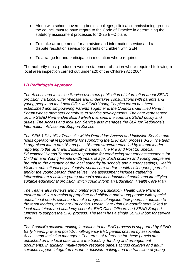- Along with school governing bodies, colleges, clinical commissioning groups, the council must to have regard to the Code of Practice in determining the statutory assessment processes for 0-25 EHC plans
- To make arrangements for an advice and information service and a dispute resolution service for parents of children with SEN
- To arrange for and participate in mediation where required

The authority must produce a written statement of action where required following a local area inspection carried out under s20 of the Children Act 2004.

## *LB Redbridge's Approach*

*The Access and Inclusion Service oversees publication of information about SEND provision via Local Offer Website and undertakes consultations with parents and young people on the Local Offer. A SEND Young Peoples forum has been established and Empowering Parents Together is the Council's identified Parent Forum whose members contribute to service developments. They are represented on the SEND Partnership Board which oversees the council's SEND policy and duties. The Access and Inclusion Service also manages the SLA for Redbridge's Information, Advice and Support Service.* 

*The SEN & Disability Team sits within Redbridge Access and Inclusion Service and holds operational responsibility for supporting the EHC plan process 0-25. The team is organised into a pre-16 and post-16 team structure each led by a team leader reporting to the SEN and Disability manager. The Pre and Post 16 Special Educational Needs Teams are responsible for conducting statutory assessments for Children and Young People 0–25 years of age. Such children and young people are brought to the attention of the local authority by schools and nursery settings, Health Visitors, educational psychologists, social care and/or health colleagues, parents and/or the young person themselves. The assessment includes gathering information on a child or young person's special educational needs and identifying suitable educational provision which could inform an Education, Health Care Plan.* 

*The Teams also reviews and monitor existing Education, Health Care Plans to ensure provision remains appropriate and children and young people with special educational needs continue to make progress alongside their peers. In addition to the team leaders, there are Education, Health Care Plan Co-coordinators linked to local maintained and academy schools, EHC Case Officers and SEND Support Officers to support the EHC process. The team has a single SEND Inbox for service users.* 

*The Council's decision-making in relation to the EHC process is supported by SEND Early Years, pre- and post-16 multi-agency EHC panels chaired by associated Access and Inclusion managers. The terms of reference for these panels are published on the local offer as are the banding, funding and arrangement documents. In addition, multi-agency resource panels across children and adult services support integrated resource decision-making and the transition of young*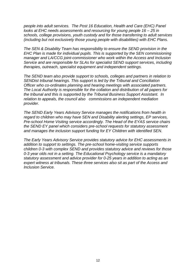*people into adult services. The Post 16 Education, Health and Care (EHC) Panel looks at EHC needs assessments and resourcing for young people 16 – 25 in schools, college provisions, youth custody and for those transferring to adult services (including but not exclusively those young people with disabilities) with EHC Plans.*

*The SEN & Disability Team has responsibility to ensure the SEND provision in the EHC Plan is made for individual pupils. This is supported by the SEN commissioning manager and LA/CCG joint-commissioner who work within the Access and Inclusion Service and are responsible for SLAs for specialist SEND support services, including therapies, outreach, specialist equipment and independent settings.* 

*The SEND team also provide support to schools, colleges and partners in relation to SENDist tribunal hearings. This support is led by the Tribunal and Conciliation Officer who co-ordinates planning and hearing meetings with associated partners. The Local Authority is responsible for the collation and distribution of all papers for the tribunal and this is supported by the Tribunal Business Support Assistant. In relation to appeals, the council also commissions an independent mediation provider.* 

*The SEND Early Years Advisory Service manages the notifications from health in regard to children who may have SEN and Disability alerting settings, EP services, Pre-school Home Visiting service accordingly. The Head of the EYAS service chairs the SEND EY panel which considers pre-school requests for statutory assessment and manages the inclusion support funding for EY Children with identified SEN.* 

*The Early Years Advisory Service provides statutory advice for EHC assessments in addition to support to settings. The pre-school home-visiting service supports children 0-3 with complex SEND and provides statutory advice and reviews for those 0-3 year olds not in a setting. The Educational Psychology service is a mandatory statutory assessment and advice provider for 0-25 years in addition to acting as an expert witness at tribunals. These three services also sit as part of the Access and Inclusion Service.*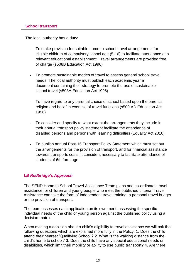#### <span id="page-13-0"></span>**School transport**

The local authority has a duty:

- To make provision for suitable home to school travel arrangements for eligible children of compulsory school age (5-16) to facilitate attendance at a relevant educational establishment. Travel arrangements are provided free of charge (s508B Education Act 1996)
- To promote sustainable modes of travel to assess general school travel needs. The local authority must publish each academic year a document containing their strategy to promote the use of sustainable school travel (s508A Education Act 1996)
- To have regard to any parental choice of school based upon the parent's  $\frac{1}{2}$ religion and belief in exercise of travel functions (s509 AD Education Act 1996)
- To consider and specify to what extent the arrangements they include in their annual transport policy statement facilitate the attendance of disabled persons and persons with learning difficulties (Equality Act 2010)
- To publish annual Post-16 Transport Policy Statement which must set out the arrangements for the provision of transport, and for financial assistance towards transports costs, it considers necessary to facilitate attendance of students of 6th form age

## *LB Redbridge's Approach*

The SEND Home to School Travel Assistance Team plans and co-ordinates travel assistance for children and young people who meet the published criteria. Travel Assistance can take the form of independent travel training, a personal travel budget or the provision of transport.

The team assesses each application on its own merit, assessing the specific individual needs of the child or young person against the published policy using a decision-matrix.

When making a decision about a child's eligibility to travel assistance we will ask the following questions which are explained more fully in the Policy. 1. Does the child attend their nearest 'Qualifying School'? 2. What is the walking distance from the child's home to school? 3. Does the child have any special educational needs or disabilities, which limit their mobility or ability to use public transport? 4. Are there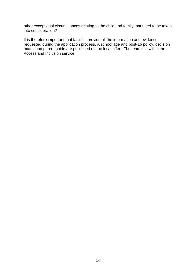other exceptional circumstances relating to the child and family that need to be taken into consideration?

It is therefore important that families provide all the information and evidence requested during the application process. A school age and post-16 policy, decision matrix and parent guide are published on the local offer. The team sits within the Access and Inclusion service.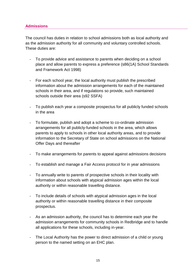## <span id="page-15-0"></span>**Admissions**

The council has duties in relation to school admissions both as local authority and as the admission authority for all community and voluntary controlled schools. These duties are:

- To provide advice and assistance to parents when deciding on a school place and allow parents to express a preference (s86(1A) School Standards and Framework Act 1998)
- $\omega_{\rm{max}}$ For each school year, the local authority must publish the prescribed information about the admission arrangements for each of the maintained schools in their area, and if regulations so provide, such maintained schools outside their area (s92 SSFA)
- $\mathbf{L}^{\text{max}}$ To publish each year a composite prospectus for all publicly funded schools in the area
- To formulate, publish and adopt a scheme to co-ordinate admission arrangements for all publicly-funded schools in the area, which allows parents to apply to schools in other local authority areas, and to provide information to the Secretary of State on school admissions on the National Offer Days and thereafter
- To make arrangements for parents to appeal against admissions decisions
- To establish and manage a Fair Access protocol for in year admissions
- To annually write to parents of prospective schools in their locality with information about schools with atypical admission ages within the local authority or within reasonable travelling distance.
- $\omega_{\rm{max}}$ To include details of schools with atypical admission ages in the local authority or within reasonable travelling distance in their composite prospectus.
- As an admission authority, the council has to determine each year the admission arrangements for community schools in Redbridge and to handle all applications for these schools, including in-year.
- The Local Authority has the power to direct admission of a child or young person to the named setting on an EHC plan.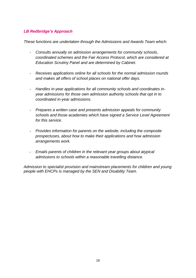## *LB Redbridge's Approach*

*These functions are undertaken through the Admissions and Awards Team which:*

- *Consults annually on admission arrangements for community schools, coordinated schemes and the Fair Access Protocol, which are considered at Education Scrutiny Panel and are determined by Cabinet.*
- *Receives applications online for all schools for the normal admission rounds and makes all offers of school places on national offer days.*
- *Handles in-year applications for all community schools and coordinates inyear admissions for those own admission authority schools that opt in to coordinated in-year admissions.*
- *Prepares a written case and presents admission appeals for community schools and those academies which have signed a Service Level Agreement for this service.*
- *Provides information for parents on the website, including the composite prospectuses, about how to make their applications and how admission arrangements work.*
- *Emails parents of children in the relevant year groups about atypical admissions to schools within a reasonable travelling distance.*

*Admission to specialist provision and mainstream placements for children and young people with EHCPs is managed by the SEN and Disability Team.*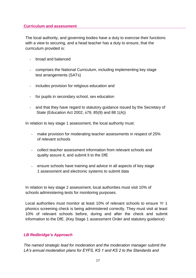### <span id="page-17-0"></span>**Curriculum and assessment**

The local authority, and governing bodies have a duty to exercise their functions with a view to securing, and a head teacher has a duty to ensure, that the curriculum provided is:

- broad and balanced
- comprises the National Curriculum, including implementing key stage test arrangements (SATs)
- includes provision for religious education and
- for pupils in secondary school, sex education
- and that they have regard to statutory guidance issued by the Secretary of State (Education Act 2002, s79, 85(9) and 88 1(A))

In relation to key stage 1 assessment, the local authority must:

- make provision for moderating teacher assessments in respect of 25% of relevant schools
- collect teacher assessment information from relevant schools and quality assure it, and submit it to the DfE
- ensure schools have training and advice in all aspects of key stage 1 assessment and electronic systems to submit data

In relation to key stage 2 assessment, local authorities must visit 10% of schools administering tests for monitoring purposes.

Local authorities must monitor at least 10% of relevant schools to ensure Yr 1 phonics screening check is being administered correctly. They must visit at least 10% of relevant schools before, during and after the check and submit information to the DfE. (Key Stage 1 assessment Order and statutory guidance)

## *LB Redbridge's Approach*

*The named strategic lead for moderation and the moderation manager submit the LA's annual moderation plans for EYFS, KS 1 and KS 2 to the Standards and*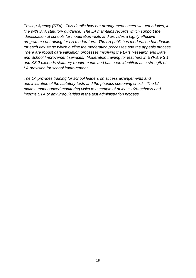*Testing Agency (STA). This details how our arrangements meet statutory duties, in line with STA statutory guidance. The LA maintains records which support the identification of schools for moderation visits and provides a highly effective programme of training for LA moderators. The LA publishes moderation handbooks for each key stage which outline the moderation processes and the appeals process. There are robust data validation processes involving the LA's Research and Data and School Improvement services. Moderation training for teachers in EYFS, KS 1 and KS 2 exceeds statutory requirements and has been identified as a strength of LA provision for school improvement.*

*The LA provides training for school leaders on access arrangements and administration of the statutory tests and the phonics screening check. The LA makes unannounced monitoring visits to a sample of at least 10% schools and informs STA of any irregularities in the test administration process.*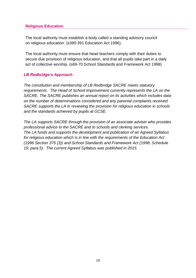### <span id="page-19-0"></span>**Religious Education**

The local authority must establish a body called a standing advisory council on religious education. (s390-391 Education Act 1996).

The local authority must ensure that head teachers comply with their duties to secure due provision of religious education, and that all pupils take part in a daily act of collective worship. (s69-70 School Standards and Framework Act 1998)

### *LB Redbridge's Approach*

*The constitution and membership of LB Redbridge SACRE meets statutory requirements. The Head of School Improvement currently represents the LA on the SACRE. The SACRE publishes an annual report on its activities which includes data on the number of determinations considered and any parental complaints received. SACRE supports the LA in reviewing the provision for religious education in schools and the standards achieved by pupils at GCSE.*

*The LA supports SACRE through the provision of an associate adviser who provides professional advice to the SACRE and to schools and clerking services. The LA funds and supports the development and publication of an Agreed Syllabus for religious education which is in line with the requirements of the Education Act (1996 Section 375 (3)) and School Standards and Framework Act (1998, Schedule 19, para.5). The current Agreed Syllabus was published in 2015.*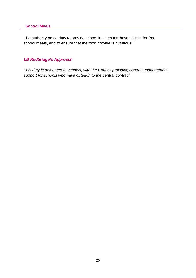#### <span id="page-20-0"></span>**School Meals**

The authority has a duty to provide school lunches for those eligible for free school meals, and to ensure that the food provide is nutritious.

### *LB Redbridge's Approach*

*This duty is delegated to schools, with the Council providing contract management support for schools who have opted-in to the central contract.*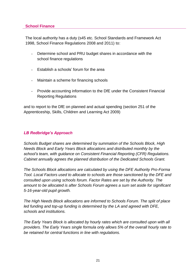### <span id="page-21-0"></span>**School Finance**

The local authority has a duty (s45 etc. School Standards and Framework Act 1998, School Finance Regulations 2008 and 2011) to:

- Determine school and PRU budget shares in accordance with the school finance regulations
- Establish a schools' forum for the area
- Maintain a scheme for financing schools
- Provide accounting information to the DfE under the Consistent Financial Reporting Regulations

and to report to the DfE on planned and actual spending (section 251 of the Apprenticeship, Skills, Children and Learning Act 2009)

### *LB Redbridge's Approach*

*Schools Budget shares are determined by summation of the Schools Block, High Needs Block and Early Years Block allocations and distributed monthly by the school's team, with guidance on Consistent Financial Reporting (CFR) Regulations. Cabinet annually agrees the planned distribution of the Dedicated Schools Grant.*

*The Schools Block allocations are calculated by using the DFE Authority Pro-Forma Tool. Local Factors used to allocate to schools are those sanctioned by the DFE and consulted upon using schools forum. Factor Rates are set by the Authority. The amount to be allocated is after Schools Forum agrees a sum set aside for significant 5-16-year-old pupil growth.*

*The High Needs Block allocations are informed to Schools Forum. The split of place led funding and top-up funding is determined by the LA and agreed with DFE, schools and institutions.*

*The Early Years Block is allocated by hourly rates which are consulted upon with all providers. The Early Years single formula only allows 5% of the overall hourly rate to be retained for central functions in line with regulations.*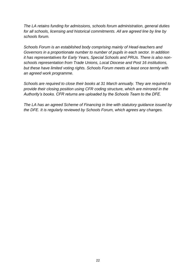*The LA retains funding for admissions, schools forum administration, general duties for all schools, licensing and historical commitments. All are agreed line by line by schools forum.*

*Schools Forum is an established body comprising mainly of Head-teachers and Governors in a proportionate number to number of pupils in each sector. In addition it has representatives for Early Years, Special Schools and PRUs. There is also nonschools representation from Trade Unions, Local Diocese and Post 16 institutions, but these have limited voting rights. Schools Forum meets at least once termly with an agreed work programme.*

*Schools are required to close their books at 31 March annually. They are required to provide their closing position using CFR coding structure, which are mirrored in the Authority's books. CFR returns are uploaded by the Schools Team to the DFE.*

*The LA has an agreed Scheme of Financing in line with statutory guidance issued by the DFE. It is regularly reviewed by Schools Forum, which agrees any changes.*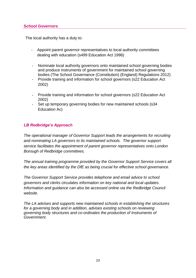#### <span id="page-23-0"></span>**School Governors**

The local authority has a duty to:

- Appoint parent governor representatives to local authority committees dealing with education (s499 Education Act 1996)
- Nominate local authority governors onto maintained school governing bodies and produce instruments of government for maintained school governing bodies (The School Governance (Constitution) (England) Regulations 2012)
- Provide training and information for school governors (s22 Education Act 2002)
- Provide training and information for school governors (s22 Education Act 2002)
- Set up temporary governing bodies for new maintained schools (s34 Education Ac)

## *LB Redbridge's Approach*

*The operational manager of Governor Support leads the arrangements for recruiting and nominating LA governors to its maintained schools. The governor support service facilitates the appointment of parent governor representatives onto London Borough of Redbridge committees.*

*The annual training programme provided by the Governor Support Service covers all the key areas identified by the DfE as being crucial for effective school governance.* 

*The Governor Support Service provides telephone and email advice to school governors and clerks circulates information on key national and local updates. Information and quidance can also be accessed online via the Redbridge Council website.* 

*The LA advises and supports new maintained schools in establishing the structures for a governing body and in addition, advises existing schools on reviewing governing body structures and co-ordinates the production of Instruments of Government.*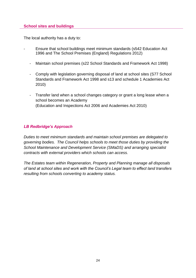### <span id="page-24-0"></span>**School sites and buildings**

The local authority has a duty to:

- Ensure that school buildings meet minimum standards (s542 Education Act 1996 and The School Premises (England) Regulations 2012)
	- Maintain school premises (s22 School Standards and Framework Act 1998)
	- Comply with legislation governing disposal of land at school sites (S77 School Standards and Framework Act 1998 and s13 and schedule 1 Academies Act 2010)
	- Transfer land when a school changes category or grant a long lease when a school becomes an Academy (Education and Inspections Act 2006 and Academies Act 2010)

### *LB Redbridge's Approach*

*Duties to meet minimum standards and maintain school premises are delegated to governing bodies. The Council helps schools to meet those duties by providing the School Maintenance and Development Service (SMaDS) and arranging specialist contracts with external providers which schools can access.*

*The Estates team within Regeneration, Property and Planning manage all disposals of land at school sites and work with the Council's Legal team to effect land transfers resulting from schools converting to academy status.*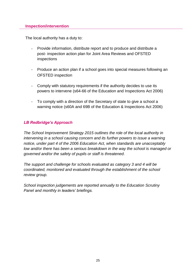#### <span id="page-25-0"></span>**Inspection/intervention**

The local authority has a duty to:

- Provide information, distribute report and to produce and distribute a post- inspection action plan for Joint Area Reviews and OFSTED inspections
- Produce an action plan if a school goes into special measures following an OFSTED inspection
- Comply with statutory requirements if the authority decides to use its powers to intervene (s64-66 of the Education and Inspections Act 2006)
- To comply with a direction of the Secretary of state to give a school a warning notice (s60A and 69B of the Education & Inspections Act 2006)

### *LB Redbridge's Approach*

*The School Improvement Strategy 2015 outlines the role of the local authority in intervening in a school causing concern and its further powers to issue a warning notice, under part 4 of the 2006 Education Act, when standards are unacceptably low and/or there has been a serious breakdown in the way the school is managed or governed and/or the safety of pupils or staff is threatened.*

*The support and challenge for schools evaluated as category 3 and 4 will be coordinated, monitored and evaluated through the establishment of the school review group.* 

*School inspection judgements are reported annually to the Education Scrutiny Panel and monthly in leaders' briefings.*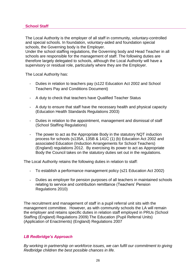<span id="page-26-0"></span>The Local Authority is the employer of all staff in community, voluntary-controlled and special schools. In foundation, voluntary-aided and foundation special schools, the Governing body is the Employer.

Under the school staffing regulations, the Governing body and Head Teacher in all schools are responsible for the management of staff. The following duties are therefore largely delegated to schools, although the Local Authority will have a supervisory or residual role, particularly where they are the Employer.

The Local Authority has:

- Duties in relation to teachers pay (s122 Education Act 2002 and School Teachers Pay and Conditions Document)
- A duty to check that teachers have Qualified Teacher Status
- A duty to ensure that staff have the necessary health and physical capacity (Education Health Standards Regulations 2003)
- $\omega_{\rm{max}}$ Duties in relation to the appointment, management and dismissal of staff (School Staffing Regulations)
- The power to act as the Appropriate Body in the statutory NQT induction  $\frac{1}{2}$  . process for schools (s135A, 135B & 141C (1) (b) Education Act 2002 and associated Education (Induction Arrangements for School Teachers) (England) regulations 2012. By exercising its power to act as Appropriate Body the Council takes on the statutory duties set out in the regulations.

The Local Authority retains the following duties in relation to staff:

- To establish a performance management policy (s21 Education Act 2002)
- Duties as employer for pension purposes of all teachers in maintained schools relating to service and contribution remittance (Teachers' Pension Regulations 2010)

The recruitment and management of staff in a pupil referral unit sits with the management committee. However, as with community schools the LA will remain the employer and retains specific duties in relation staff employed in PRUs (School Staffing (England) Regulations 2009) The Education (Pupil Referral Units) (Application of Enactments) (England) Regulations 2007

#### *LB Redbridge's Approach*

*By working in partnership on workforce issues, we can fulfil our commitment to giving Redbridge children the best possible chances in life.*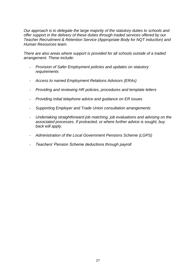*Our approach is to delegate the large majority of the statutory duties to schools and offer support in the delivery of these duties through traded services offered by our Teacher Recruitment & Retention Service (Appropriate Body for NQT induction) and Human Resources team.*

*There are also areas where support is provided for all schools outside of a traded arrangement. These include:*

- *Provision of Safer Employment policies and updates on statutory*   $\Delta \sim 10^{-10}$ *requirements*
- *Access to named Employment Relations Advisors (ERAs)*
- *Providing and reviewing HR policies, procedures and template letters*  $\mathbf{L}^{\text{max}}$
- *Providing initial telephone advice and guidance on ER issues*   $\Box$
- *Supporting Employer and Trade Union consultation arrangements*  $\sim$
- *Undertaking straightforward job matching, job evaluations and advising on the*   $\mathbf{H}^{\text{max}}$ *associated processes. If protracted, or where further advice is sought, buy back will apply.*
- *Administration of the Local Government Pensions Scheme (LGPS)*  $\frac{1}{2}$
- *Teachers' Pension Scheme deductions through payroll*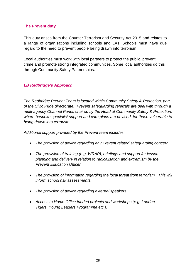### <span id="page-28-0"></span>**The Prevent duty**

This duty arises from the Counter Terrorism and Security Act 2015 and relates to a range of organisations including schools and LAs. Schools must have due regard to the need to prevent people being drawn into terrorism.

Local authorities must work with local partners to protect the public, prevent crime and promote strong integrated communities. Some local authorities do this through Community Safety Partnerships.

## *LB Redbridge's Approach*

*The Redbridge Prevent Team is located within Community Safety & Protection, part of the Civic Pride directorate. Prevent safeguarding referrals are deal with through a multi-agency Channel Panel, chaired by the Head of Community Safety & Protection, where bespoke specialist support and care plans are devised for those vulnerable to being drawn into terrorism.* 

*Additional support provided by the Prevent team includes:*

- *The provision of advice regarding any Prevent related safeguarding concern.*
- *The provision of training (e.g. WRAP), briefings and support for lesson planning and delivery in relation to radicalisation and extremism by the Prevent Education Officer.*
- *The provision of information regarding the local threat from terrorism. This will inform school risk assessments.*
- *The provision of advice regarding external speakers.*
- *Access to Home Office funded projects and workshops (e.g. London Tigers, Young Leaders Programme etc.).*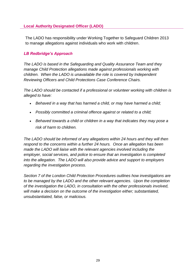<span id="page-29-0"></span>The LADO has responsibility under Working Together to Safeguard Children 2013 to manage allegations against individuals who work with children.

## *LB Redbridge's Approach*

*The LADO is based in the Safeguarding and Quality Assurance Team and they manage Child Protection allegations made against professionals working with children. When the LADO is unavailable the role is covered by Independent Reviewing Officers and Child Protections Case Conference Chairs.* 

*The LADO should be contacted if a professional or volunteer working with children is alleged to have:*

- *Behaved in a way that has harmed a child, or may have harmed a child;*
- *Possibly committed a criminal offence against or related to a child;*
- *Behaved towards a child or children in a way that indicates they may pose a risk of harm to children.*

*The LADO should be informed of any allegations within 24 hours and they will then respond to the concerns within a further 24 hours. Once an allegation has been made the LADO will liaise with the relevant agencies involved including the employer, social services, and police to ensure that an investigation is completed into the allegation. The LADO will also provide advice and support to employers regarding the investigation process.* 

*Section 7 of the London Child Protection Procedures outlines how investigations are to be managed by the LADO and the other relevant agencies. Upon the completion of the investigation the LADO, in consultation with the other professionals involved, will make a decision on the outcome of the investigation either; substantiated, unsubstantiated, false, or malicious.*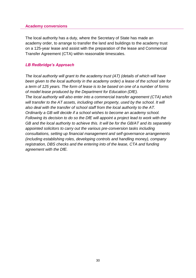#### <span id="page-30-0"></span>**Academy conversions**

The local authority has a duty, where the Secretary of State has made an academy order, to arrange to transfer the land and buildings to the academy trust on a 125-year lease and assist with the preparation of the lease and Commercial Transfer Agreement (CTA) within reasonable timescales.

### *LB Redbridge's Approach*

*The local authority will grant to the academy trust (AT) (details of which will have been given to the local authority in the academy order) a lease of the school site for a term of 125 years. The form of lease is to be based on one of a number of forms of model lease produced by the Department for Education (DfE). The local authority will also enter into a commercial transfer agreement (CTA) which will transfer to the AT assets, including other property, used by the school. It will also deal with the transfer of school staff from the local authority to the AT. Ordinarily a GB will decide if a school wishes to become an academy school. Following its decision to do so the DfE will appoint a project lead to work with the GB and the local authority to achieve this. It will be for the GB/AT and its separately appointed solicitors to carry out the various pre-conversion tasks including consultations, setting up financial management and self-governance arrangements (including establishing roles, developing controls and handling money), company registration, DBS checks and the entering into of the lease, CTA and funding agreement with the DfE.*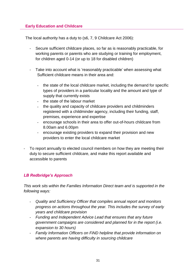## <span id="page-31-0"></span>**Early Education and Childcare**

The local authority has a duty to (s6, 7, 9 Childcare Act 2006):

- Secure sufficient childcare places, so far as is reasonably practicable, for working parents or parents who are studying or training for employment, for children aged 0-14 (or up to 18 for disabled children)
- Take into account what is 'reasonably practicable' when assessing what Sufficient childcare means in their area and:
	- the state of the local childcare market, including the demand for specific types of providers in a particular locality and the amount and type of supply that currently exists
	- the state of the labour market
	- the quality and capacity of childcare providers and childminders registered with a childminder agency, including their funding, staff, premises, experience and expertise
	- encourage schools in their area to offer out-of-hours childcare from 8.00am and 6.00pm
	- encourage existing providers to expand their provision and new providers to enter the local childcare market
- To report annually to elected council members on how they are meeting their duty to secure sufficient childcare, and make this report available and accessible to parents

## *LB Redbridge's Approach*

*This work sits within the Families Information Direct team and is supported in the following ways:*

- *Quality and Sufficiency Officer that compiles annual report and monitors*   $\mathbf{H}^{\text{max}}$ *progress on actions throughout the year. This includes the survey of early years and childcare provision*
- *Funding and Independent Advice Lead that ensures that any future government campaigns are considered and planned for in the report (i.e. expansion to 30 hours)*
- *Family Information Officers on FiND helpline that provide information on*   $\mathbf{L}$ *where parents are having difficulty in sourcing childcare*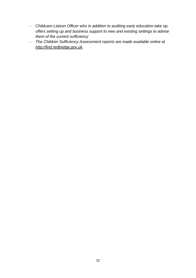- *Childcare Liaison Officer who in addition to auditing early education take up, offers setting up and business support to new and existing settings to advise them of the current sufficiency*
- *The Children Sufficiency Assessment reports are made available online at*   $\omega_{\rm{max}}$ *[http://find.redbridge.gov.uk.](http://find.redbridge.gov.uk/)*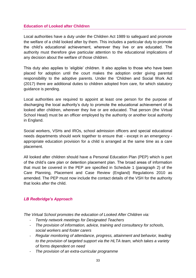### **Education of Looked after Children**

Local authorities have a duty under the Children Act 1989 to safeguard and promote the welfare of a child looked after by them. This includes a particular duty to promote the child's educational achievement, wherever they live or are educated. The authority must therefore give particular attention to the educational implications of any decision about the welfare of those children.

This duty also applies to 'eligible' children. It also applies to those who have been placed for adoption until the court makes the adoption order giving parental responsibility to the adoptive parents. Under the 'Children and Social Work Act (2017) there are additional duties to children adopted from care, for which statutory guidance is pending.

Local authorities are required to appoint at least one person for the purpose of discharging the local authority's duty to promote the educational achievement of its looked after children, wherever they live or are educated. That person (the Virtual School Head) must be an officer employed by the authority or another local authority in England.

Social workers, VSHs and IROs, school admission officers and special educational needs departments should work together to ensure that - except in an emergency appropriate education provision for a child is arranged at the same time as a care placement.

All looked after children should have a Personal Education Plan (PEP) which is part of the child's care plan or detention placement plan. The broad areas of information that must be covered in the PEP are specified in Schedule 1 (paragraph 2) of the Care Planning, Placement and Case Review (England) Regulations 2010 as amended. The PEP must now include the contact details of the VSH for the authority that looks after the child.

## *LB Redbridge's Approach*

*The Virtual School promotes the education of Looked After Children via:*

- *Termly network meetings for Designated Teachers*
- $\omega_{\rm{max}}$ *The provision of information, advice, training and consultancy for schools, social workers and foster carers*
- *Regular monitoring of attendance, progress, attainment and behavior, leading to the provision of targeted support via the HLTA team, which takes a variety of forms dependent on need*
- *The provision of an extra-curricular programme* $\equiv$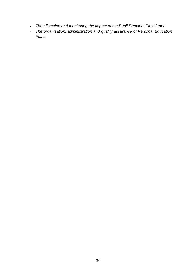- *The allocation and monitoring the impact of the Pupil Premium Plus Grant*  $\frac{1}{2}$
- *The organisation, administration and quality assurance of Personal Education*   $\omega_{\rm{eff}}$ *Plans*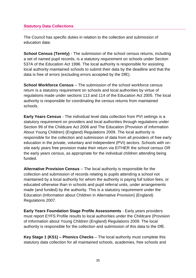## **Statutory Data Collections**

The Council has specific duties in relation to the collection and submission of education data:

**School Census (Termly)** - The submission of the school census returns, including a set of named pupil records, is a statutory requirement on schools under Section 537A of the Education Act 1996. The local authority is responsible for assisting local authority maintained schools to submit their data by the deadline and that the data is free of errors (excluding errors accepted by the DfE).

**School Workforce Census** – The submission of the school workforce census return is a statutory requirement on schools and local authorities by virtue of regulations made under sections 113 and 114 of the Education Act 2005. The local authority is responsible for coordinating the census returns from maintained schools.

**Early Years Census** - The individual level data collection from PVI settings is a statutory requirement on providers and local authorities through regulations under Section 99 of the Childcare Act 2006 and The Education (Provision of Information About Young Children) (England) Regulations 2009. The local authority is responsible for the collection and submission of data from all providers of free early education in the private, voluntary and independent (PVI) sectors. Schools with onsite early years free provision make their return via EITHER the school census OR the early years census, as appropriate for the individual children attending being funded.

**Alternative Provision Census** – The local authority is responsible for the collection and submission of records relating to pupils attending a school not maintained by a local authority for whom the authority is paying full tuition fees, or educated otherwise than in schools and pupil referral units, under arrangements made (and funded) by the authority. This is a statutory requirement under the Education (Information about Children in Alternative Provision) (England) Regulations 2007.

**Early Years Foundation Stage Profile Assessments** - Early years providers must report EYFS Profile results to local authorities under the Childcare (Provision of Information about Young Children (England) Regulations 2009. The local authority is responsible for the collection and submission of this data to the DfE.

**Key Stage 1 (KS1) – Phonics Checks** – The local authority must complete this statutory data collection for all maintained schools, academies, free schools and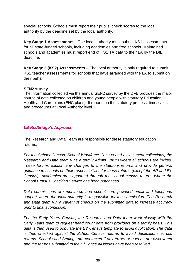special schools. Schools must report their pupils' check scores to the local authority by the deadline set by the local authority.

**Key Stage 1 Assessments** – The local authority must submit KS1 assessments for all state-funded schools, including academies and free schools. Maintained schools and academies must report end of KS1 TA data to their LA by the DfE deadline.

**Key Stage 2 (KS2) Assessments** – The local authority is only required to submit KS2 teacher assessments for schools that have arranged with the LA to submit on their behalf.

### **SEN2 survey**

The information collected via the annual SEN2 survey by the DFE provides the major source of data collected on children and young people with statutory Education, Health and Care plans (EHC plans). It reports on the statutory process, timescales and procedures at Local Authority level.

# *LB Redbridge's Approach*

The Research and Data Team are responsible for these statutory education returns:

*For the School Census, School Workforce Census and assessment collections, the Research and Data team runs a termly Admin Forum where all schools are invited. These forums explain any changes to the statutory returns and provide general guidance to schools on their responsibilities for these returns (except the AP and EY Census). Academies are supported through the school census returns where the School Census Checking Service has been purchased.*

*Data submissions are monitored and schools are provided email and telephone support where the local authority is responsible for the submission. The Research and Data team run a variety of checks on the submitted data to increase accuracy prior to final submission.*

*For the Early Years Census, the Research and Data team work closely with the Early Years team to request head count data from providers on a termly basis. This data is then used to populate the EY Census template to avoid duplication. The data is then checked against the School Census returns to avoid duplications across returns. Schools and Settings are contacted if any errors or queries are discovered and the returns submitted to the DfE once all issues have been resolved.*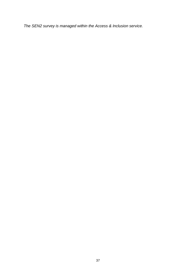<span id="page-37-0"></span>*The SEN2 survey is managed within the Access & Inclusion service.*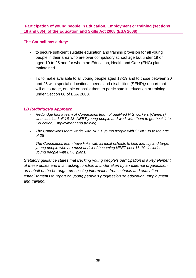**Participation of young people in Education, Employment or training (sections 18 and 68(4) of the Education and Skills Act 2008 (ESA 2008)**

### **The Council has a duty:**

- to secure sufficient suitable education and training provision for all young  $\omega_{\rm{max}}$ people in their area who are over compulsory school age but under 19 or aged 19 to 25 and for whom an Education, Health and Care (EHC) plan is maintained.
- To to make available to all young people aged 13-19 and to those between 20 and 25 with special educational needs and disabilities (SEND),support that will encourage, enable or assist them to participate in education or training under Section 68 of ESA 2008.

### *LB Redbridge's Approach*

- *Redbridge has a team of Connexions team of qualified IAG workers (Careers) who caseload all 16-18 NEET young people and work with them to get back into Education, Employment and training.*
- *The Connexions team works with NEET young people with SEND up to the age*   $\overline{a}$ *of 25*
- *The Connexions team have links with all local schools to help identify and target young people who are most at risk of becoming NEET post 16 this includes young people with EHC plans.*

*Statutory guidance states that tracking young people's participation is a key element of these duties and this tracking function is undertaken by an external organisation on behalf of the borough, processing information from schools and education establishments to report on young people's progression on education, employment and training.*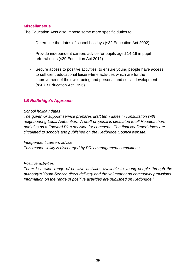#### <span id="page-39-0"></span>**Miscellaneous**

The Education Acts also impose some more specific duties to:

- Determine the dates of school holidays (s32 Education Act 2002)
- Provide independent careers advice for pupils aged 14-16 in pupil referral units (s29 Education Act 2011)
- $\omega_{\rm{max}}$ Secure access to positive activities, to ensure young people have access to sufficient educational leisure-time activities which are for the improvement of their well-being and personal and social development (s507B Education Act 1996).

### *LB Redbridge's Approach*

#### *School holiday dates*

*The governor support service prepares draft term dates in consultation with neighbouring Local Authorities. A draft proposal is circulated to all Headteachers and also as a Forward Plan decision for comment. The final confirmed dates are circulated to schools and published on the Redbridge Council website.*

#### *Independent careers advice*

*This responsibility is discharged by PRU management committees.*

#### *Positive activities*

*There is a wide range of positive activities available to young people through the authority's Youth Service direct delivery and the voluntary and community provisions. Information on the range of positive activities are published on Redbridge i.*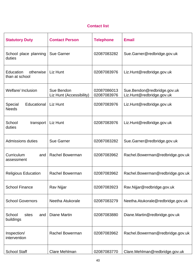# **Contact list**

| <b>Statutory Duty</b>                           | <b>Contact Person</b>                  | <b>Telephone</b>           | <b>Email</b>                                             |
|-------------------------------------------------|----------------------------------------|----------------------------|----------------------------------------------------------|
| School place planning<br>duties                 | <b>Sue Garner</b>                      | 02087083282                | Sue.Garner@redbridge.gov.uk                              |
| <b>Education</b><br>otherwise<br>than at school | Liz Hunt                               | 02087083976                | Liz.Hunt@redbridge.gov.uk                                |
| Welfare/ Inclusion                              | Sue Bendon<br>Liz Hunt (Accessibility) | 02087086013<br>02087083976 | Sue.Bendon@redbridge.gov.uk<br>Liz.Hunt@redbridge.gov.uk |
| Educational<br>Special<br><b>Needs</b>          | Liz Hunt                               | 02087083976                | Liz.Hunt@redbridge.gov.uk                                |
| School<br>transport<br>duties                   | Liz Hunt                               | 02087083976                | Liz.Hunt@redbridge.gov.uk                                |
| Admissions duties                               | <b>Sue Garner</b>                      | 02087083282                | Sue.Garner@redbridge.gov.uk                              |
| Curriculum<br>and<br>assessment                 | <b>Rachel Bowerman</b>                 | 02087083962                | Rachel.Bowerman@redbridge.gov.uk                         |
| <b>Religious Education</b>                      | <b>Rachel Bowerman</b>                 | 02087083962                | Rachel.Bowerman@redbridge.gov.uk                         |
| <b>School Finance</b>                           | Rav Nijjar                             | 02087083923                | Rav.Nijjar@redbridge.gov.uk                              |
| <b>School Governors</b>                         | Neetha Atukorale                       | 02087083279                | Neetha.Atukorale@redbridge.gov.uk                        |
| School<br>sites<br>and<br>buildings             | <b>Diane Martin</b>                    | 02087083880                | Diane.Martin@redbridge.gov.uk                            |
| Inspection/<br>intervention                     | <b>Rachel Bowerman</b>                 | 02087083962                | Rachel.Bowerman@redbridge.gov.uk                         |
| <b>School Staff</b>                             | <b>Clare Mehlman</b>                   | 02087083770                | Clare.Mehlman@redbridge.gov.uk                           |